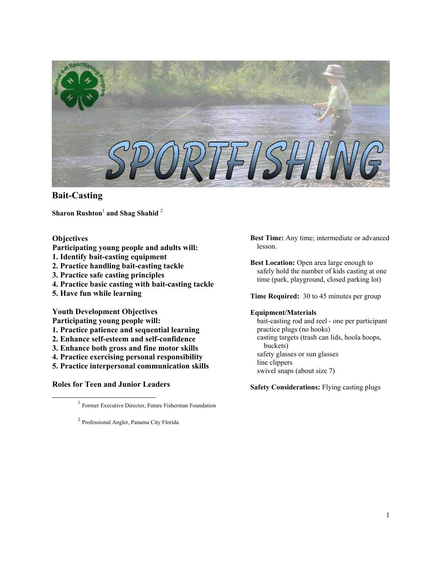

# **Bait-Casting**

**Sharon Rushton**[1](#page-0-0) **and Shag Shahid** [2](#page-0-1)

## **Objectives**

- **Participating young people and adults will:**
- **1. Identify bait-casting equipment**
- **2. Practice handling bait-casting tackle**
- **3. Practice safe casting principles**
- **4. Practice basic casting with bait-casting tackle**
- **5. Have fun while learning**

## **Youth Development Objectives**

- **Participating young people will:**
- **1. Practice patience and sequential learning**
- **2. Enhance self-esteem and self-confidence**
- **3. Enhance both gross and fine motor skills**
- **4. Practice exercising personal responsibility**
- **5. Practice interpersonal communication skills**

## **Roles for Teen and Junior Leaders**

<span id="page-0-0"></span><sup>1</sup> Former Executive Director, Future Fisherman Foundation

<span id="page-0-1"></span><sup>2</sup> Professional Angler, Panama City Florida

**Best Time:** Any time; intermediate or advanced lesson.

**Best Location:** Open area large enough to safely hold the number of kids casting at one time (park, playground, closed parking lot)

**Time Required:** 30 to 45 minutes per group

### **Equipment/Materials**

bait-casting rod and reel - one per participant practice plugs (no hooks) casting targets (trash can lids, hoola hoops, buckets) safety glasses or sun glasses line clippers swivel snaps (about size 7)

**Safety Considerations:** Flying casting plugs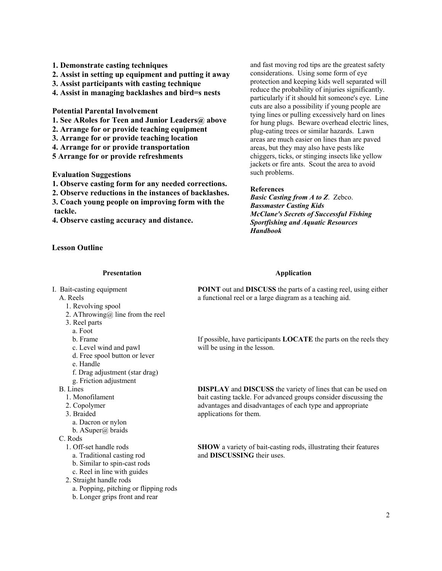- **1. Demonstrate casting techniques**
- **2. Assist in setting up equipment and putting it away**
- **3. Assist participants with casting technique**
- **4. Assist in managing backlashes and bird=s nests**

**Potential Parental Involvement** 

- **1. See ARoles for Teen and Junior Leaders@ above**
- **2. Arrange for or provide teaching equipment**
- **3. Arrange for or provide teaching location**
- **4. Arrange for or provide transportation**
- **5 Arrange for or provide refreshments**

### **Evaluation Suggestions**

- **1. Observe casting form for any needed corrections.**
- **2. Observe reductions in the instances of backlashes.**
- **3. Coach young people on improving form with the tackle.**
- **4. Observe casting accuracy and distance.**

## **Lesson Outline**

### **Presentation**

and fast moving rod tips are the greatest safety considerations. Using some form of eye protection and keeping kids well separated will reduce the probability of injuries significantly. particularly if it should hit someone's eye. Line cuts are also a possibility if young people are tying lines or pulling excessively hard on lines for hung plugs. Beware overhead electric lines, plug-eating trees or similar hazards. Lawn areas are much easier on lines than are paved areas, but they may also have pests like chiggers, ticks, or stinging insects like yellow jackets or fire ants. Scout the area to avoid such problems.

### **References**

*Basic Casting from A to Z*. Zebco. *Bassmaster Casting Kids McClane's Secrets of Successful Fishing Sportfishing and Aquatic Resources Handbook*

## **Application**

I. Bait-casting equipment

- A. Reels
	- 1. Revolving spool
	- 2. AThrowing  $\omega$  line from the reel
	- 3. Reel parts
		- a. Foot
		- b. Frame
		- c. Level wind and pawl
	- d. Free spool button or lever
	- e. Handle
	- f. Drag adjustment (star drag)
	- g. Friction adjustment
- B. Lines
	- 1. Monofilament
	- 2. Copolymer
	- 3. Braided
		- a. Dacron or nylon
		- b. ASuper@ braids
- C. Rods
	- 1. Off-set handle rods
		- a. Traditional casting rod
		- b. Similar to spin-cast rods
		- c. Reel in line with guides
	- 2. Straight handle rods
		- a. Popping, pitching or flipping rods
		- b. Longer grips front and rear

**POINT** out and **DISCUSS** the parts of a casting reel, using either a functional reel or a large diagram as a teaching aid.

If possible, have participants **LOCATE** the parts on the reels they will be using in the lesson.

**DISPLAY** and **DISCUSS** the variety of lines that can be used on bait casting tackle. For advanced groups consider discussing the advantages and disadvantages of each type and appropriate applications for them.

**SHOW** a variety of bait-casting rods, illustrating their features and **DISCUSSING** their uses.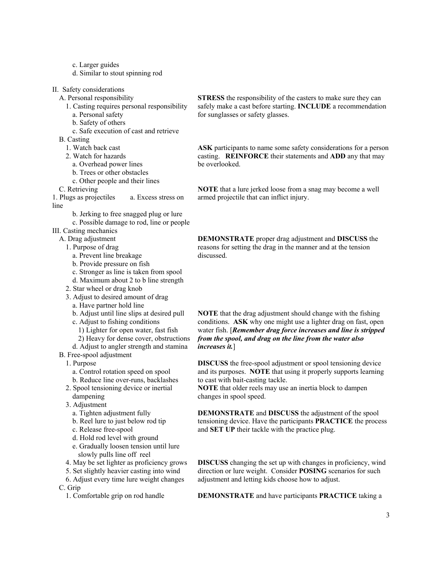c. Larger guides

d. Similar to stout spinning rod

II. Safety considerations

A. Personal responsibility

- 1. Casting requires personal responsibility
- a. Personal safety
- b. Safety of others
- c. Safe execution of cast and retrieve

B. Casting

- 1. Watch back cast 2. Watch for hazards
- 
- a. Overhead power lines
- b. Trees or other obstacles
- c. Other people and their lines

C. Retrieving

1. Plugs as projectiles a. Excess stress on line

- b. Jerking to free snagged plug or lure
- c. Possible damage to rod, line or people

III. Casting mechanics

- A. Drag adjustment
- 1. Purpose of drag
	- a. Prevent line breakage
	- b. Provide pressure on fish
	- c. Stronger as line is taken from spool
	- d. Maximum about 2 to b line strength
- 2. Star wheel or drag knob
- 3. Adjust to desired amount of drag a. Have partner hold line
	- b. Adjust until line slips at desired pull
	- c. Adjust to fishing conditions
		- 1) Lighter for open water, fast fish
	- 2) Heavy for dense cover, obstructions
- d. Adjust to angler strength and stamina
- B. Free-spool adjustment
- 1. Purpose
	- a. Control rotation speed on spool
- b. Reduce line over-runs, backlashes 2. Spool tensioning device or inertial
- dampening
- 3. Adjustment
- a. Tighten adjustment fully
- b. Reel lure to just below rod tip
- c. Release free-spool
- d. Hold rod level with ground
- e. Gradually loosen tension until lure slowly pulls line off reel
- 4. May be set lighter as proficiency grows
- 5. Set slightly heavier casting into wind
- 6. Adjust every time lure weight changes C. Grip
	- 1. Comfortable grip on rod handle

**STRESS** the responsibility of the casters to make sure they can safely make a cast before starting. **INCLUDE** a recommendation for sunglasses or safety glasses.

**ASK** participants to name some safety considerations for a person casting. **REINFORCE** their statements and **ADD** any that may be overlooked.

**NOTE** that a lure jerked loose from a snag may become a well armed projectile that can inflict injury.

**DEMONSTRATE** proper drag adjustment and **DISCUSS** the reasons for setting the drag in the manner and at the tension discussed.

**NOTE** that the drag adjustment should change with the fishing conditions. **ASK** why one might use a lighter drag on fast, open water fish. [*Remember drag force increases and line is stripped from the spool, and drag on the line from the water also increases it.*]

**DISCUSS** the free-spool adjustment or spool tensioning device and its purposes. **NOTE** that using it properly supports learning to cast with bait-casting tackle.

**NOTE** that older reels may use an inertia block to dampen changes in spool speed.

**DEMONSTRATE** and **DISCUSS** the adjustment of the spool tensioning device. Have the participants **PRACTICE** the process and **SET UP** their tackle with the practice plug.

**DISCUSS** changing the set up with changes in proficiency, wind direction or lure weight. Consider **POSING** scenarios for such adjustment and letting kids choose how to adjust.

**DEMONSTRATE** and have participants **PRACTICE** taking a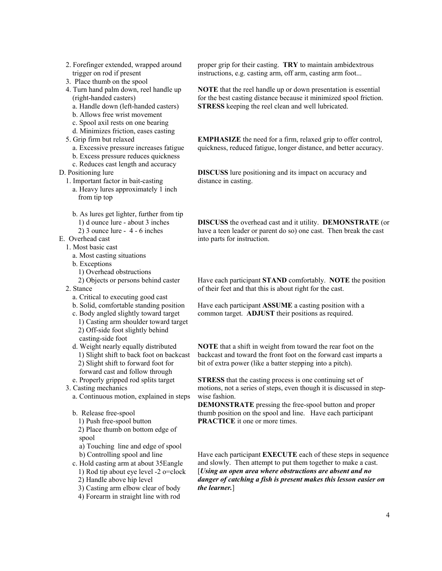- 2. Forefinger extended, wrapped around trigger on rod if present
- 3. Place thumb on the spool
- 4. Turn hand palm down, reel handle up (right-handed casters)
	- a. Handle down (left-handed casters)
	- b. Allows free wrist movement
	- c. Spool axil rests on one bearing
	- d. Minimizes friction, eases casting
- 5. Grip firm but relaxed
	- a. Excessive pressure increases fatigue
- b. Excess pressure reduces quickness
- c. Reduces cast length and accuracy
- D. Positioning lure
	- 1. Important factor in bait-casting
		- a. Heavy lures approximately 1 inch from tip top
		- b. As lures get lighter, further from tip 1) d ounce lure - about 3 inches
			- 2) 3 ounce lure 4 6 inches
- E. Overhead cast
- 1. Most basic cast
	- a. Most casting situations
	- b. Exceptions
	- 1) Overhead obstructions
	- 2) Objects or persons behind caster
- 2. Stance
	- a. Critical to executing good cast
	- b. Solid, comfortable standing position
	- c. Body angled slightly toward target
	- 1) Casting arm shoulder toward target 2) Off-side foot slightly behind casting-side foot
	- d. Weight nearly equally distributed 1) Slight shift to back foot on backcast 2) Slight shift to forward foot for forward cast and follow through
	- e. Properly gripped rod splits target
- 3. Casting mechanics
	- a. Continuous motion, explained in steps
	- b. Release free-spool
		- 1) Push free-spool button
	- 2) Place thumb on bottom edge of
	- spool
	- a) Touching line and edge of spool b) Controlling spool and line
	- c. Hold casting arm at about 35Εangle
		- 1) Rod tip about eye level -2 o=clock
		- 2) Handle above hip level
		- 3) Casting arm elbow clear of body
		- 4) Forearm in straight line with rod

proper grip for their casting. **TRY** to maintain ambidextrous instructions, e.g. casting arm, off arm, casting arm foot...

**NOTE** that the reel handle up or down presentation is essential for the best casting distance because it minimized spool friction. **STRESS** keeping the reel clean and well lubricated.

**EMPHASIZE** the need for a firm, relaxed grip to offer control, quickness, reduced fatigue, longer distance, and better accuracy.

**DISCUSS** lure positioning and its impact on accuracy and distance in casting.

**DISCUSS** the overhead cast and it utility. **DEMONSTRATE** (or have a teen leader or parent do so) one cast. Then break the cast into parts for instruction.

Have each participant **STAND** comfortably. **NOTE** the position of their feet and that this is about right for the cast.

Have each participant **ASSUME** a casting position with a common target. **ADJUST** their positions as required.

**NOTE** that a shift in weight from toward the rear foot on the backcast and toward the front foot on the forward cast imparts a bit of extra power (like a batter stepping into a pitch).

**STRESS** that the casting process is one continuing set of motions, not a series of steps, even though it is discussed in stepwise fashion.

**DEMONSTRATE** pressing the free-spool button and proper thumb position on the spool and line. Have each participant **PRACTICE** it one or more times.

Have each participant **EXECUTE** each of these steps in sequence and slowly. Then attempt to put them together to make a cast. [*Using an open area where obstructions are absent and no danger of catching a fish is present makes this lesson easier on the learner.*]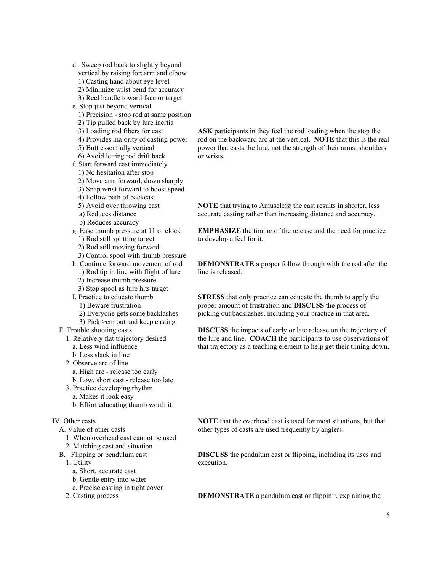d. Sweep rod back to slightly beyond vertical by raising forearm and elbow 1) Casting hand about eye level 2) Minimize wrist bend for accuracy 3) Reel handle toward face or target e. Stop just beyond vertical 1) Precision - stop rod at same position 2) Tip pulled back by lure inertia 3) Loading rod fibers for cast 4) Provides majority of casting power 5) Butt essentially vertical 6) Avoid letting rod drift back f. Start forward cast immediately 1) No hesitation after stop 2) Move arm forward, down sharply 3) Snap wrist forward to boost speed 4) Follow path of backcast 5) Avoid over throwing cast a) Reduces distance b) Reduces accuracy g. Ease thumb pressure at 11 o=clock 1) Rod still splitting target 2) Rod still moving forward 3) Control spool with thumb pressure h. Continue forward movement of rod 1) Rod tip in line with flight of lure 2) Increase thumb pressure 3) Stop spool as lure hits target I. Practice to educate thumb 1) Beware frustration 2) Everyone gets some backlashes 3) Pick >em out and keep casting F. Trouble shooting casts 1. Relatively flat trajectory desired a. Less wind influence b. Less slack in line 2. Observe arc of line a. High arc - release too early b. Low, short cast - release too late 3. Practice developing rhythm a. Makes it look easy b. Effort educating thumb worth it IV. Other casts A. Value of other casts 1. When overhead cast cannot be used 2. Matching cast and situation B. Flipping or pendulum cast 1. Utility

- a. Short, accurate cast
- b. Gentle entry into water
- c. Precise casting in tight cover
- 2. Casting process

**ASK** participants in they feel the rod loading when the stop the rod on the backward arc at the vertical. **NOTE** that this is the real power that casts the lure, not the strength of their arms, shoulders or wrists.

**NOTE** that trying to Amuscle@ the cast results in shorter, less accurate casting rather than increasing distance and accuracy.

**EMPHASIZE** the timing of the release and the need for practice to develop a feel for it.

**DEMONSTRATE** a proper follow through with the rod after the line is released.

**STRESS** that only practice can educate the thumb to apply the proper amount of frustration and **DISCUSS** the process of picking out backlashes, including your practice in that area.

**DISCUSS** the impacts of early or late release on the trajectory of the lure and line. **COACH** the participants to use observations of that trajectory as a teaching element to help get their timing down.

**NOTE** that the overhead cast is used for most situations, but that other types of casts are used frequently by anglers.

**DISCUSS** the pendulum cast or flipping, including its uses and execution.

**DEMONSTRATE** a pendulum cast or flippin=, explaining the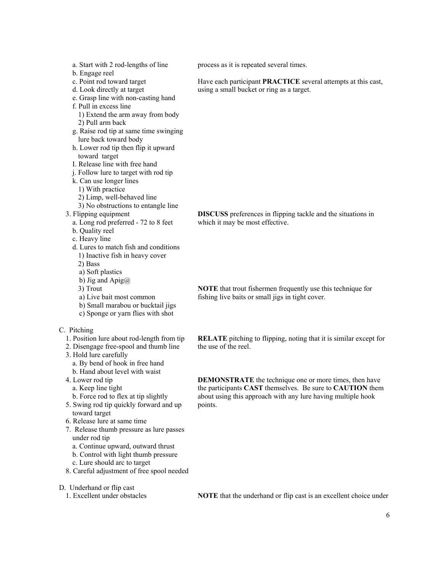a. Start with 2 rod-lengths of line b. Engage reel c. Point rod toward target d. Look directly at target e. Grasp line with non-casting hand f. Pull in excess line 1) Extend the arm away from body 2) Pull arm back g. Raise rod tip at same time swinging lure back toward body h. Lower rod tip then flip it upward toward target I. Release line with free hand j. Follow lure to target with rod tip k. Can use longer lines 1) With practice 2) Limp, well-behaved line 3) No obstructions to entangle line 3. Flipping equipment a. Long rod preferred - 72 to 8 feet b. Quality reel c. Heavy line d. Lures to match fish and conditions 1) Inactive fish in heavy cover 2) Bass a) Soft plastics b) Jig and Apig@ 3) Trout a) Live bait most common b) Small marabou or bucktail jigs c) Sponge or yarn flies with shot C. Pitching 1. Position lure about rod-length from tip 2. Disengage free-spool and thumb line 3. Hold lure carefully a. By bend of hook in free hand b. Hand about level with waist 4. Lower rod tip a. Keep line tight b. Force rod to flex at tip slightly 5. Swing rod tip quickly forward and up toward target 6. Release lure at same time 7. Release thumb pressure as lure passes under rod tip a. Continue upward, outward thrust b. Control with light thumb pressure c. Lure should arc to target 8. Careful adjustment of free spool needed D. Underhand or flip cast 1. Excellent under obstacles process as it is repeated several times. Have each participant **PRACTICE** several attempts at this cast, using a small bucket or ring as a target. **DISCUSS** preferences in flipping tackle and the situations in which it may be most effective. **NOTE** that trout fishermen frequently use this technique for fishing live baits or small jigs in tight cover. **RELATE** pitching to flipping, noting that it is similar except for the use of the reel. **DEMONSTRATE** the technique one or more times, then have the participants **CAST** themselves. Be sure to **CAUTION** them about using this approach with any lure having multiple hook points. **NOTE** that the underhand or flip cast is an excellent choice under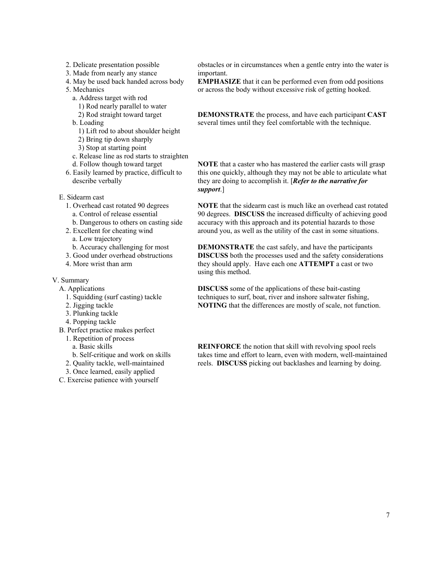- 2. Delicate presentation possible
- 3. Made from nearly any stance
- 4. May be used back handed across body

5. Mechanics

- a. Address target with rod
	- 1) Rod nearly parallel to water
	- 2) Rod straight toward target
- b. Loading
	- 1) Lift rod to about shoulder height
	- 2) Bring tip down sharply
	- 3) Stop at starting point
- c. Release line as rod starts to straighten
- d. Follow though toward target
- 6. Easily learned by practice, difficult to describe verbally
- E. Sidearm cast
	- 1. Overhead cast rotated 90 degrees
		- a. Control of release essential
		- b. Dangerous to others on casting side
	- 2. Excellent for cheating wind
		- a. Low trajectory
	- b. Accuracy challenging for most
	- 3. Good under overhead obstructions
	- 4. More wrist than arm

### V. Summary

- A. Applications
	- 1. Squidding (surf casting) tackle
	- 2. Jigging tackle
	- 3. Plunking tackle
	- 4. Popping tackle
- B. Perfect practice makes perfect
	- 1. Repetition of process
		- a. Basic skills
	- b. Self-critique and work on skills
	- 2. Quality tackle, well-maintained
	- 3. Once learned, easily applied
- C. Exercise patience with yourself

obstacles or in circumstances when a gentle entry into the water is important.

**EMPHASIZE** that it can be performed even from odd positions or across the body without excessive risk of getting hooked.

**DEMONSTRATE** the process, and have each participant **CAST** several times until they feel comfortable with the technique.

**NOTE** that a caster who has mastered the earlier casts will grasp this one quickly, although they may not be able to articulate what they are doing to accomplish it. [*Refer to the narrative for support*.]

**NOTE** that the sidearm cast is much like an overhead cast rotated 90 degrees. **DISCUSS** the increased difficulty of achieving good accuracy with this approach and its potential hazards to those around you, as well as the utility of the cast in some situations.

**DEMONSTRATE** the cast safely, and have the participants **DISCUSS** both the processes used and the safety considerations they should apply. Have each one **ATTEMPT** a cast or two using this method.

**DISCUSS** some of the applications of these bait-casting techniques to surf, boat, river and inshore saltwater fishing, **NOTING** that the differences are mostly of scale, not function.

**REINFORCE** the notion that skill with revolving spool reels takes time and effort to learn, even with modern, well-maintained reels. **DISCUSS** picking out backlashes and learning by doing.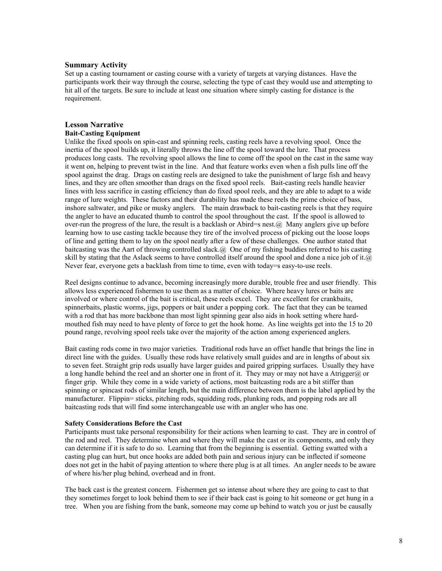### **Summary Activity**

Set up a casting tournament or casting course with a variety of targets at varying distances. Have the participants work their way through the course, selecting the type of cast they would use and attempting to hit all of the targets. Be sure to include at least one situation where simply casting for distance is the requirement.

# **Lesson Narrative**

## **Bait-Casting Equipment**

Unlike the fixed spools on spin-cast and spinning reels, casting reels have a revolving spool. Once the inertia of the spool builds up, it literally throws the line off the spool toward the lure. That process produces long casts. The revolving spool allows the line to come off the spool on the cast in the same way it went on, helping to prevent twist in the line. And that feature works even when a fish pulls line off the spool against the drag. Drags on casting reels are designed to take the punishment of large fish and heavy lines, and they are often smoother than drags on the fixed spool reels. Bait-casting reels handle heavier lines with less sacrifice in casting efficiency than do fixed spool reels, and they are able to adapt to a wide range of lure weights. These factors and their durability has made these reels the prime choice of bass, inshore saltwater, and pike or musky anglers. The main drawback to bait-casting reels is that they require the angler to have an educated thumb to control the spool throughout the cast. If the spool is allowed to over-run the progress of the lure, the result is a backlash or Abird=s nest.  $\omega$  Many anglers give up before learning how to use casting tackle because they tire of the involved process of picking out the loose loops of line and getting them to lay on the spool neatly after a few of these challenges. One author stated that baitcasting was the Aart of throwing controlled slack. $@$  One of my fishing buddies referred to his casting skill by stating that the Aslack seems to have controlled itself around the spool and done a nice job of it. $\omega$ Never fear, everyone gets a backlash from time to time, even with today=s easy-to-use reels.

Reel designs continue to advance, becoming increasingly more durable, trouble free and user friendly. This allows less experienced fishermen to use them as a matter of choice. Where heavy lures or baits are involved or where control of the bait is critical, these reels excel. They are excellent for crankbaits, spinnerbaits, plastic worms, jigs, poppers or bait under a popping cork. The fact that they can be teamed with a rod that has more backbone than most light spinning gear also aids in hook setting where hardmouthed fish may need to have plenty of force to get the hook home. As line weights get into the 15 to 20 pound range, revolving spool reels take over the majority of the action among experienced anglers.

Bait casting rods come in two major varieties. Traditional rods have an offset handle that brings the line in direct line with the guides. Usually these rods have relatively small guides and are in lengths of about six to seven feet. Straight grip rods usually have larger guides and paired gripping surfaces. Usually they have a long handle behind the reel and an shorter one in front of it. They may or may not have a Atrigger@ or finger grip. While they come in a wide variety of actions, most baitcasting rods are a bit stiffer than spinning or spincast rods of similar length, but the main difference between them is the label applied by the manufacturer. Flippin= sticks, pitching rods, squidding rods, plunking rods, and popping rods are all baitcasting rods that will find some interchangeable use with an angler who has one.

#### **Safety Considerations Before the Cast**

Participants must take personal responsibility for their actions when learning to cast. They are in control of the rod and reel. They determine when and where they will make the cast or its components, and only they can determine if it is safe to do so. Learning that from the beginning is essential. Getting swatted with a casting plug can hurt, but once hooks are added both pain and serious injury can be inflected if someone does not get in the habit of paying attention to where there plug is at all times. An angler needs to be aware of where his/her plug behind, overhead and in front.

The back cast is the greatest concern. Fishermen get so intense about where they are going to cast to that they sometimes forget to look behind them to see if their back cast is going to hit someone or get hung in a tree. When you are fishing from the bank, someone may come up behind to watch you or just be causally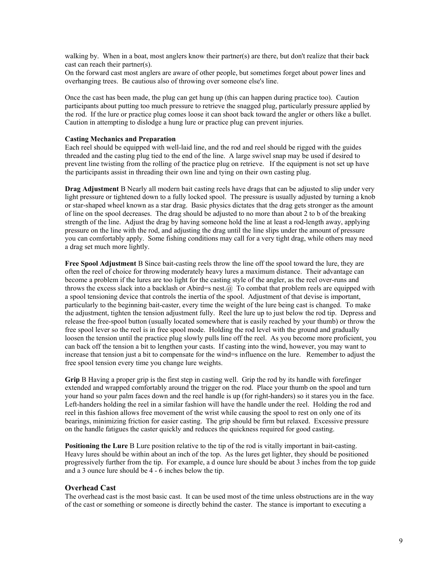walking by. When in a boat, most anglers know their partner(s) are there, but don't realize that their back cast can reach their partner(s).

On the forward cast most anglers are aware of other people, but sometimes forget about power lines and overhanging trees. Be cautious also of throwing over someone else's line.

Once the cast has been made, the plug can get hung up (this can happen during practice too). Caution participants about putting too much pressure to retrieve the snagged plug, particularly pressure applied by the rod. If the lure or practice plug comes loose it can shoot back toward the angler or others like a bullet. Caution in attempting to dislodge a hung lure or practice plug can prevent injuries.

### **Casting Mechanics and Preparation**

Each reel should be equipped with well-laid line, and the rod and reel should be rigged with the guides threaded and the casting plug tied to the end of the line. A large swivel snap may be used if desired to prevent line twisting from the rolling of the practice plug on retrieve. If the equipment is not set up have the participants assist in threading their own line and tying on their own casting plug.

**Drag Adjustment** B Nearly all modern bait casting reels have drags that can be adjusted to slip under very light pressure or tightened down to a fully locked spool. The pressure is usually adjusted by turning a knob or star-shaped wheel known as a star drag. Basic physics dictates that the drag gets stronger as the amount of line on the spool decreases. The drag should be adjusted to no more than about 2 to b of the breaking strength of the line. Adjust the drag by having someone hold the line at least a rod-length away, applying pressure on the line with the rod, and adjusting the drag until the line slips under the amount of pressure you can comfortably apply. Some fishing conditions may call for a very tight drag, while others may need a drag set much more lightly.

**Free Spool Adjustment** B Since bait-casting reels throw the line off the spool toward the lure, they are often the reel of choice for throwing moderately heavy lures a maximum distance. Their advantage can become a problem if the lures are too light for the casting style of the angler, as the reel over-runs and throws the excess slack into a backlash or Abird=s nest. $@$  To combat that problem reels are equipped with a spool tensioning device that controls the inertia of the spool. Adjustment of that devise is important, particularly to the beginning bait-caster, every time the weight of the lure being cast is changed. To make the adjustment, tighten the tension adjustment fully. Reel the lure up to just below the rod tip. Depress and release the free-spool button (usually located somewhere that is easily reached by your thumb) or throw the free spool lever so the reel is in free spool mode. Holding the rod level with the ground and gradually loosen the tension until the practice plug slowly pulls line off the reel. As you become more proficient, you can back off the tension a bit to lengthen your casts. If casting into the wind, however, you may want to increase that tension just a bit to compensate for the wind=s influence on the lure. Remember to adjust the free spool tension every time you change lure weights.

Grip B Having a proper grip is the first step in casting well. Grip the rod by its handle with forefinger extended and wrapped comfortably around the trigger on the rod. Place your thumb on the spool and turn your hand so your palm faces down and the reel handle is up (for right-handers) so it stares you in the face. Left-handers holding the reel in a similar fashion will have the handle under the reel. Holding the rod and reel in this fashion allows free movement of the wrist while causing the spool to rest on only one of its bearings, minimizing friction for easier casting. The grip should be firm but relaxed. Excessive pressure on the handle fatigues the caster quickly and reduces the quickness required for good casting.

**Positioning the Lure** B Lure position relative to the tip of the rod is vitally important in bait-casting. Heavy lures should be within about an inch of the top. As the lures get lighter, they should be positioned progressively further from the tip. For example, a d ounce lure should be about 3 inches from the top guide and a 3 ounce lure should be 4 - 6 inches below the tip.

## **Overhead Cast**

The overhead cast is the most basic cast. It can be used most of the time unless obstructions are in the way of the cast or something or someone is directly behind the caster. The stance is important to executing a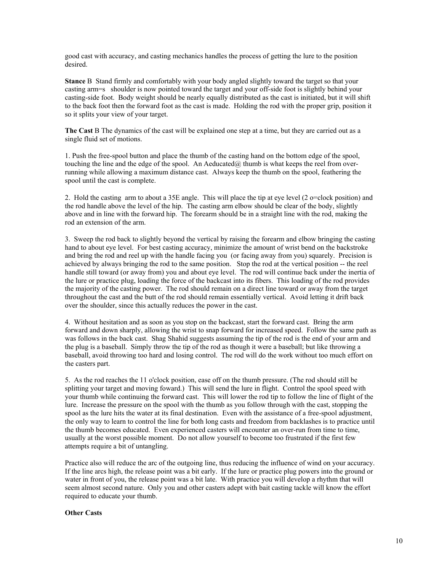good cast with accuracy, and casting mechanics handles the process of getting the lure to the position desired.

**Stance** B Stand firmly and comfortably with your body angled slightly toward the target so that your casting arm=s shoulder is now pointed toward the target and your off-side foot is slightly behind your casting-side foot. Body weight should be nearly equally distributed as the cast is initiated, but it will shift to the back foot then the forward foot as the cast is made. Holding the rod with the proper grip, position it so it splits your view of your target.

**The Cast** B The dynamics of the cast will be explained one step at a time, but they are carried out as a single fluid set of motions.

1. Push the free-spool button and place the thumb of the casting hand on the bottom edge of the spool, touching the line and the edge of the spool. An Aeducated  $\omega$  thumb is what keeps the reel from overrunning while allowing a maximum distance cast. Always keep the thumb on the spool, feathering the spool until the cast is complete.

2. Hold the casting arm to about a 35E angle. This will place the tip at eye level (2 o=clock position) and the rod handle above the level of the hip. The casting arm elbow should be clear of the body, slightly above and in line with the forward hip. The forearm should be in a straight line with the rod, making the rod an extension of the arm.

3. Sweep the rod back to slightly beyond the vertical by raising the forearm and elbow bringing the casting hand to about eye level. For best casting accuracy, minimize the amount of wrist bend on the backstroke and bring the rod and reel up with the handle facing you (or facing away from you) squarely. Precision is achieved by always bringing the rod to the same position. Stop the rod at the vertical position -- the reel handle still toward (or away from) you and about eye level. The rod will continue back under the inertia of the lure or practice plug, loading the force of the backcast into its fibers. This loading of the rod provides the majority of the casting power. The rod should remain on a direct line toward or away from the target throughout the cast and the butt of the rod should remain essentially vertical. Avoid letting it drift back over the shoulder, since this actually reduces the power in the cast.

4. Without hesitation and as soon as you stop on the backcast, start the forward cast. Bring the arm forward and down sharply, allowing the wrist to snap forward for increased speed. Follow the same path as was follows in the back cast. Shag Shahid suggests assuming the tip of the rod is the end of your arm and the plug is a baseball. Simply throw the tip of the rod as though it were a baseball; but like throwing a baseball, avoid throwing too hard and losing control. The rod will do the work without too much effort on the casters part.

5. As the rod reaches the 11 o'clock position, ease off on the thumb pressure. (The rod should still be splitting your target and moving foward.) This will send the lure in flight. Control the spool speed with your thumb while continuing the forward cast. This will lower the rod tip to follow the line of flight of the lure. Increase the pressure on the spool with the thumb as you follow through with the cast, stopping the spool as the lure hits the water at its final destination. Even with the assistance of a free-spool adjustment, the only way to learn to control the line for both long casts and freedom from backlashes is to practice until the thumb becomes educated. Even experienced casters will encounter an over-run from time to time, usually at the worst possible moment. Do not allow yourself to become too frustrated if the first few attempts require a bit of untangling.

Practice also will reduce the arc of the outgoing line, thus reducing the influence of wind on your accuracy. If the line arcs high, the release point was a bit early. If the lure or practice plug powers into the ground or water in front of you, the release point was a bit late. With practice you will develop a rhythm that will seem almost second nature. Only you and other casters adept with bait casting tackle will know the effort required to educate your thumb.

### **Other Casts**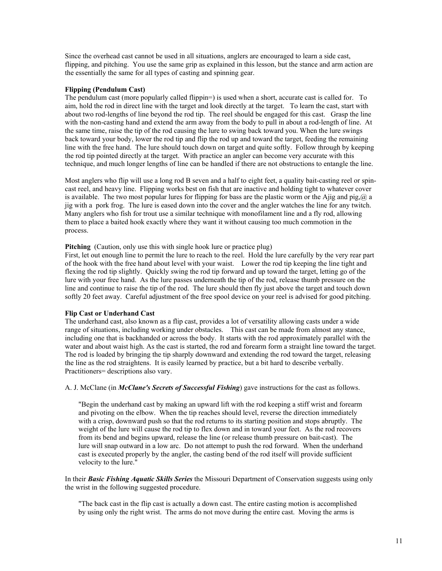Since the overhead cast cannot be used in all situations, anglers are encouraged to learn a side cast, flipping, and pitching. You use the same grip as explained in this lesson, but the stance and arm action are the essentially the same for all types of casting and spinning gear.

## **Flipping (Pendulum Cast)**

The pendulum cast (more popularly called flippin=) is used when a short, accurate cast is called for. To aim, hold the rod in direct line with the target and look directly at the target. To learn the cast, start with about two rod-lengths of line beyond the rod tip. The reel should be engaged for this cast. Grasp the line with the non-casting hand and extend the arm away from the body to pull in about a rod-length of line. At the same time, raise the tip of the rod causing the lure to swing back toward you. When the lure swings back toward your body, lower the rod tip and flip the rod up and toward the target, feeding the remaining line with the free hand. The lure should touch down on target and quite softly. Follow through by keeping the rod tip pointed directly at the target. With practice an angler can become very accurate with this technique, and much longer lengths of line can be handled if there are not obstructions to entangle the line.

Most anglers who flip will use a long rod B seven and a half to eight feet, a quality bait-casting reel or spincast reel, and heavy line. Flipping works best on fish that are inactive and holding tight to whatever cover is available. The two most popular lures for flipping for bass are the plastic worm or the Ajig and pig,  $\omega$  a jig with a pork frog. The lure is eased down into the cover and the angler watches the line for any twitch. Many anglers who fish for trout use a similar technique with monofilament line and a fly rod, allowing them to place a baited hook exactly where they want it without causing too much commotion in the process.

### **Pitching** (Caution, only use this with single hook lure or practice plug)

First, let out enough line to permit the lure to reach to the reel. Hold the lure carefully by the very rear part of the hook with the free hand about level with your waist. Lower the rod tip keeping the line tight and flexing the rod tip slightly. Quickly swing the rod tip forward and up toward the target, letting go of the lure with your free hand. As the lure passes underneath the tip of the rod, release thumb pressure on the line and continue to raise the tip of the rod. The lure should then fly just above the target and touch down softly 20 feet away. Careful adjustment of the free spool device on your reel is advised for good pitching.

## **Flip Cast or Underhand Cast**

The underhand cast, also known as a flip cast, provides a lot of versatility allowing casts under a wide range of situations, including working under obstacles. This cast can be made from almost any stance, including one that is backhanded or across the body. It starts with the rod approximately parallel with the water and about waist high. As the cast is started, the rod and forearm form a straight line toward the target. The rod is loaded by bringing the tip sharply downward and extending the rod toward the target, releasing the line as the rod straightens. It is easily learned by practice, but a bit hard to describe verbally. Practitioners= descriptions also vary.

### A. J. McClane (in *McClane's Secrets of Successful Fishing*) gave instructions for the cast as follows.

"Begin the underhand cast by making an upward lift with the rod keeping a stiff wrist and forearm and pivoting on the elbow. When the tip reaches should level, reverse the direction immediately with a crisp, downward push so that the rod returns to its starting position and stops abruptly. The weight of the lure will cause the rod tip to flex down and in toward your feet. As the rod recovers from its bend and begins upward, release the line (or release thumb pressure on bait-cast). The lure will snap outward in a low arc. Do not attempt to push the rod forward. When the underhand cast is executed properly by the angler, the casting bend of the rod itself will provide sufficient velocity to the lure."

In their *Basic Fishing Aquatic Skills Series* the Missouri Department of Conservation suggests using only the wrist in the following suggested procedure.

"The back cast in the flip cast is actually a down cast. The entire casting motion is accomplished by using only the right wrist. The arms do not move during the entire cast. Moving the arms is